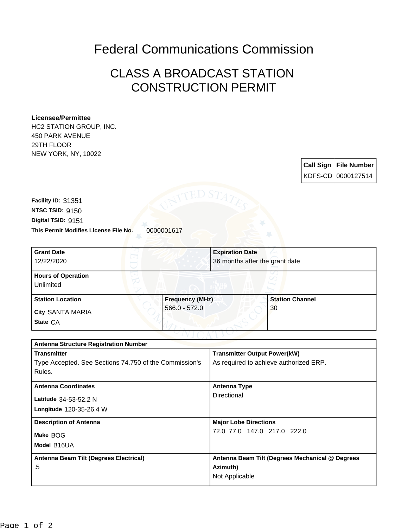## Federal Communications Commission

## CLASS A BROADCAST STATION CONSTRUCTION PERMIT

## **Licensee/Permittee**

HC2 STATION GROUP, INC. 450 PARK AVENUE 29TH FLOOR NEW YORK, NY, 10022

> **Call Sign File Number** KDFS-CD 0000127514

**This Permit Modifies License File No.** 0000001617 **Digital TSID:** 9151 **NTSC TSID:** 9150 **Facility ID:** 31351

| <b>Grant Date</b>         | <b>Expiration Date</b> |                                |
|---------------------------|------------------------|--------------------------------|
| 12/22/2020                |                        | 36 months after the grant date |
| <b>Hours of Operation</b> |                        |                                |
| Unlimited                 |                        |                                |
| <b>Station Location</b>   | <b>Frequency (MHz)</b> | <b>Station Channel</b>         |
| <b>City SANTA MARIA</b>   | $566.0 - 572.0$        | 30                             |
| State CA                  |                        |                                |

| <b>Antenna Structure Registration Number</b>           |                                                 |  |  |
|--------------------------------------------------------|-------------------------------------------------|--|--|
| <b>Transmitter</b>                                     | <b>Transmitter Output Power(kW)</b>             |  |  |
| Type Accepted. See Sections 74.750 of the Commission's | As required to achieve authorized ERP.          |  |  |
| Rules.                                                 |                                                 |  |  |
| <b>Antenna Coordinates</b>                             | Antenna Type                                    |  |  |
|                                                        |                                                 |  |  |
| Latitude 34-53-52.2 N                                  | Directional                                     |  |  |
| Longitude 120-35-26.4 W                                |                                                 |  |  |
| <b>Description of Antenna</b>                          | <b>Major Lobe Directions</b>                    |  |  |
| Make BOG                                               | 72.0 77.0 147.0 217.0 222.0                     |  |  |
|                                                        |                                                 |  |  |
| Model B16UA                                            |                                                 |  |  |
| Antenna Beam Tilt (Degrees Electrical)                 | Antenna Beam Tilt (Degrees Mechanical @ Degrees |  |  |
| .5                                                     | Azimuth)                                        |  |  |
|                                                        | Not Applicable                                  |  |  |